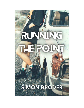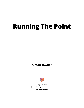# <span id="page-1-0"></span>**Running The Point**

#### **Simon Broder**



A Story Shares book Easy to read. Hard to put down.

**[storyshares.org](https://www.storyshares.org)**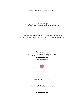<span id="page-2-0"></span>Copyright © 2021 by Story Share, Inc. Simon Broder

All rights reserved. Published in the United States by Story Share, Inc.

The characters and events in this book are ficticious. Any similarity to real persons, living or dead, is entirely coincidental.

> Story Shares dreaming up a new shelf in the global library **[storyshares.org](https://www.storyshares.org)** PHILADELPHIA, PA



ISBN # 9781642611793

Printed in the United States of America

#### **[storyshares.org](https://www.storyshares.org)**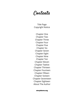# Contents

Title [Page](#page-1-0) [Copyright](#page-2-0) Notice

[Chapter](#page-4-0) One [Chapter](#page-7-0) Two [Chapter](#page-10-0) Three **Chapter Four Chapter Five** [Chapter](#page-18-0) Six [Chapter](#page-21-0) Seven [Chapter](#page-23-0) Eight [Chapter](#page-25-0) Nine [Chapter](#page-29-0) Ten [Chapter](#page-32-0) Eleven [Chapter](#page-36-0) Twelve Chapter [Thirteen](#page-38-0) **Chapter Fourteen Chapter Fifteen** [Chapter](#page-45-0) Sixteen Chapter [Seventeen](#page-48-0) Chapter [Eighteen](#page-51-0) About The [Author](#page-54-0)

**[storyshares.org](https://www.storyshares.org)**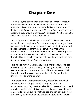#### **Chapter One**

<span id="page-4-0"></span>The old Toyota behind the warehouse was Ennie's fortress. It was a hollowed out husk of a wreck with doors that refused to open, two missing tires, and a smashed driver's side window. In the back seat, Ennie had stashed a BB gun, a Swiss army knife, and a ratty old copy of *Sports Illustrated* with Russell Westbrook on the cover. Westbrook was his favorite player.

A patchy, crooked wire fence separated the alleyway from the parking lot, and despite the fact that the cars parked only a dozen feet away, the fence made the mountain of junk that surrounded the car seem isolated from civilization. Sometimes Ennie wondered if the rotting lumber and broken bricks were important ruins left over from when the city had first been settled. Other times he liked to imagine that he could use them to build his own house far away from his Aunt Lucía one day.

His tia was a strict Mexican lady with a sharp tongue. The last time she'd caught him in the alley she had grounded him for a week and warned him about all sorts of horrible diseases. Still, risking her wrath was worth getting the thrill of exploring the unknown worlds of the laneway.

But today he wasn't interested in any of that. Today he had come back here to forget about the way that Troy had embarrassed him. Troy was the tallest kid in basketball camp, and when he'd spotted Ennie this morning he'd poured a whole bottle of Gatorade down his shirt. That was bad enough, but even worse was the way he dominated Ennie in the one-on-one drill. Ennie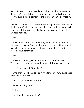was quick with his dribble and always bragged that he would be the next Westbrook, but the scrimmage had ended without Ennie scoring even a single point over the fourteen-year-old's massive reach.

Ennie reached the car and climbed through the broken window. But his bag of belongings was not where he left them in the back seat. He only found a ratty blanket and a few empty bags of Chinese noodles.

#### Ping.

The metallic clatter radiated through the vehicle. Ennie didn't know where it came from, but it sounded ominous. He flattened himself amongst the weeds that poked through the Toyota's rusted-out undercarriage.

#### Ping.

The sound came again, but this time it sounded oddly familiar. There was no doubt that something was hitting against the car.

"Hey!" Ennie yelled. "Stop that."

"Who are you?" The voice was high-pitched but raw. It was not a voice Ennie recognized.

"Who are you?" Ennie retorted.

"Whatcha doing here?"

"I always come here."

"So what, this your gun then?"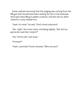Ennie realized nervously that the *ping*ing was coming from the BB gun that should have been waiting for him in the backseat. He'd seen what BB gun pellets could do. And the old car didn't make for a very reliable fort.

"Yeah, it's mine," he said. "Don't shoot anymore!"

"Aw...right," the voice came, trembling slightly. "But ain't ya gonna be mad that I stole it?"

"No," Ennie said. "Just stop."

"Promise?"

"Yeah, I promise!" Ennie shouted. "Who are you?"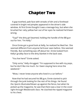### **Chapter Two**

<span id="page-7-0"></span>A gap-toothed, pale face with streaks of dirt and a forehead covered in bright red pimples appeared in the driver's side window. At first Ennie thought it was a teenage boy, but when she brushed her ratty yellow hair out of her eyes he realized he'd been wrong.

"'Sup?" the dirty girl beamed, holding the handle of the BB gun out for him. "I'm Kelly."

Once Ennie got a good look at Kelly, he realized he liked her. She seemed different from anyone he'd ever seen before. She seemed friendly. But something was off about her. Ennie looked from Kelly's grubby face to the dirty blanket in the back seat.

"You live here?" Ennie asked.

"Only sorta," Kelly shrugged. "I'm supposed to live with my pops, but he don't like me much. So I been staying here since the weekend."

"Wow, I never knew anyone who lived in a car before."

Now that he had secured his BB gun, Ennie started to pick through the junk looking for the rest of his things. He found the *Sports Illustrated* blown up against the fence, but when he picked up the magazine, he saw that there was a tear in the cover right through Westbrook's face. He clutched the ripped magazine to his chest.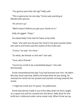"You gonna save that old rag?" Kelly said.

"This isgonna be me one day," Ennie said, pointing at Westbrook's picture.

"It's all torn up."

"Well it wasn't before you got your hands on it."

Kelly shrugged. "Oops."

He asked Kelly if she had his Swiss army knife.

"Naw," she said, but she put her hand in her jeans pocket when she said it and Ennie saw the outline of the multi-tool.

"C'mon," he said. "It's mine."

"So what, we friends or ain't we?" she said.

"Sure, we're friends."

"You're too small to be a basketball player," she said dismissively.

Ennie remembered the way Troy had loomed over him. He didn't like that she'd said that. Before he knew what he was doing, he reached his hand into her pocket and started running towards the street.

"I might be small, but I'm quick," he yelled back.

Ennie had almost made it out of the alley when his foot caught on a spare tire and he crashed into the fence. Kelly dove for the knife but it skittered under some metal rods. When Ennie sat up,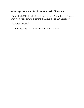he had a gash the size of a plum on the back of his elbow.

"You alright?" Kelly said, forgetting the knife. She pried his fingers away from his elbow to examine the wound. "It's just a scrape."

"It hurts, though."

"Oh, ya big baby. You want me to walk you home?"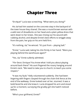# **Chapter Three**

<span id="page-10-0"></span>"Enrique!" Lucía was screeching. "What were you doing?"

His *tia* had him seated on the concrete step in the backyard of the town house they shared. She was a round brown woman with a wild nest of dreadlocks on her head and a plain yellow dress that went down to her knees. She was rinsing out his wound with rubbing alcohol, and despite Ennie's best efforts to wriggle away from the pain, her grip on his arm held firm.

"It's nothing, tia," he winced. "It's just from - playing ball."

"Ennie,"Lucía said, taking his chin firmly in her hand. "Were you playing behind the warehouse again?"

"Yes, *tia*," Ennie sullenly admitted.

"Por favor, Enrique! You know what I told you about playing around back there!" His aunt fingered the rosary hanging around Ennie's neck. "We need to take you to church, to teach you some respect."

"It was my fault," Kelly volunteered suddenly. She had been lingering with fingers clasped through the chain-link fence at the end of the walkway. Ennie looked over at her, stunned. It was a bold-faced lie and she knew it.Lucía dropped his arm and stood up for a moment, surveying the grubby girl she hadn't noticed before.

"Who's your girlfriend, Ennie?"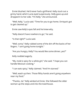Ennie blushed. He'd never had a girlfriend. Kelly stuck out a grimy hand, which Lucía eyed suspiciously. Kellygave up and dropped it to her side. "I'm Kelly," she announced.

"Well, Kelly," Lucía said. "Time for you to go home. Enrique's got to get cleaned up."

Ennie saw Kelly's eyes fall and he knew why.

"Kelly doesn't have nowhere to go," he said.

"Is that right?"Lucía said.

"Well, sorta," Kelly rubbed some of the dirt off the backs of her fingers. "I ain't going home tonight."

"Are you hungry, Kelly? You would like some dinner, yes?"

Kelly nodded eagerly.

"My *mole* is spicy for a white girl," she said. "I hope you can handle Mexican cooking."

"I can eats spicy," Kelly claimed. "And I'm starved."

"Well, wash up then. Those filthy hands aren't going anywhere near my food."

"Thanks, tia." Kelly winked at Ennie. She followed the older woman up the steps and into the townhouse.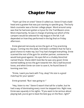#### **Chapter Four**

<span id="page-12-0"></span>"Team up! One on ones!" Steve-O called out. Steve-O had a bald head and a goatee that was just starting to speckle gray. The burly black counselor was a former college player. Word around camp was that he had even gotten a tryout for the Trail Blazers once. More importantly, he was in charge of picking out which of the campers would be selected for rep league in the fall. It all depended on how they performed in the big final on Friday afternoon.

Ennie glanced nervously across the gym at Troy practicing layups. Coming into the week, he'd been confident that he had a good chance to make rep, but Troy had changed everything. Ennie scanned the rest of the gym for another partner, someone he would lookgood against. His eyes fell on a chubby blond kid named Shane. Shane didn't look like he was very good. Ennie started walking across the gym towards him. But a ball bounced loose, and when Ennie ran over to save it, he found Steve-O looming over him.

"Ennie, I want you back with Troy, okay? His size is a good matchup for your speed."

Ennie groaned. "But I was going to-"

"Hey, listen to me." Steve-O wasn't that tall for a baller, but he had a way of dominating every room he stepped into. Right now, Ennie was squarely in his sights. "Ifyou want to be serious about playing ball, you've got to beat the best guy on the floor, right?"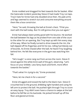Ennie nodded and dragged his feet towards the far basket. After the Gatorade incident yesterday Steve-O had made Troy run laps. Troy's hate for Ennie had only doubled since then. His pale arms and legs seemed to stretch out and consume everything around them like a boa constrictor.

"Here," he said, throwing the ball at Ennie's chest. "I'll let you start with the ball today. But I'm still gonna shut you out again."

Ennie had always been prettygood with his bounce. He worked the ball between his legs as he probed from one side of the court to the other for an opening. But Troy kept up with him every step of the way. When he finally turned to drive towards the rim, the ball slipped off his fingertips and hit his toe, rolling harmlessly out of bounds. As Ennie chased after the ball, he heard Troy laughing behind him. He felt like everyone in the gym was watching him fail.

"He's tough," a voice rang out from across the room. Steve-O stood against the white brick wall of the gym, observing. "Let's focus on your dribble. Less fancy back-and-forth, more effort towards the basket."

"That's what I'm *trying* to do," Ennie protested.

"Here, let me check in for a second."

Ennie shrugged and tossed the ball to the black man. Steve-O crouched low to the ground, dribbling right-handed and using his left arm to protect the ball. He pushed right through Troy to score an easy layup. Troy didn't even have a chance to swipe at the ball before he fell flat on his backside. He picked himself up off the floor and glared at Ennie.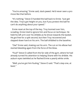"You're amazing," Ennie said, slack-jawed. He'd never seen a pro move like that before.

"It's nothing," Steve-O handed the ball back to Ennie. "Just get the idea. Troy's got height on you, but if you protect the ball he can't do anything about your speed."

Ennie reset at the top of the key. Troy loomed over him, scowling. Ennie tried to ignore him and focus on technique. He held his left arm over his dribble as he drove towards the basket. He got free for a split second, but then Troy recovered and slapped down hard on his arm. The ball dribbled to the baseline.

"Ow!" Ennie said, shaking out his arm. The cut on his elbow had started bleeding again from the force of the blow.

"Foul!" Steve-O called from the far side of the gym, where he had already turned his attention to helping Shane with his dribble. His auburn eyes twinkled as he flashed Ennie a pearly white smile.

"Well, you've got him fouling," Steve-O said. "That's step one, at least."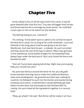### **Chapter Five**

<span id="page-15-0"></span>Ennie sulked in the car all the way home from camp. It had all gone downhill after that first foul. Troy was still bigger than he was and Ennie had lost the scrimmage by seven points. He could feel Lucía's eyes on him as he stared out the window.

"Something eating at you, *chamaco*?"

"It's nothing." Ennie didn't want to admit to his tia that he wasn't the best kid in camp. For as long as he could remember, Lucía had listened to him brag about how he was going to be the next Westbrook. And now here he was - a nobody. His aunt tut-tutted and they drove the rest of the way in silence. When they got back to the townhouse, Ennie bolted straight for the basketball they always kept under the back porch. But Lucía closed the fence and blocked his path.

"Nuh uh! You've been playing ball all day. Right now you're going help your *tia* with her *pico*."

His aunt was famous around the block for her *pico de gallo*. Ennie had been learning how to make the traditional Mexican salsa since kindergarten. He groaned, but there was nothing he could do. He followed his aunt into the kitchen and started slicing tomatoes and onions. It seemed like it would definitelyget dark before he was done, but eventually he was finished with his cutting. His aunt mixed all the ingredients together in a ceramic bowl.

"Okay, go ahead," she said. "But dinner will be ready in an hour,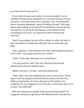you hear? Don't stray too far."

Ennie rolled his eyes and said of course he wouldn't. As he dribbled the ball up the sidewalk, he concocted all sorts of crazy scenarios in his head where he could beat Troy. He fantasized about shooting fadeaways, about dribbling through Troy's legs, about alley-ooping to himself off the backboard. He had almost reached the courts by the elementary school when he felt something on his back. He realized he didn't have his ball anymore.

"Hey!" Ennie yelled. He took off at a dead run after the thief. It was only when he tackled the offender that he realized it was Kelly.

"Hey, superstar." She climbed to her feet, still holding the ball out of his reach. "Gonna go practice your moves?"

"Yeah," Ennie said. "Now give me my ball back."

"You anygood for real?" she said. She bounced the ball awkwardly and Ennie swiped it back.

"Better than you," he said. "I play like Westbrook."

"Yeah, right," she said, following him over to the courts. All the way across the playground Ennie had to protect the ball from Kelly's prying hands, but when theygot to the baskets she suddenly sat cross-legged on the concrete. "I ain't never learn how to play," she admitted.

With her sitting there quietly, Ennie practiced by himself. He imagined cutting through the air like Westbrook for thunderous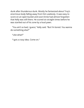dunk after thunderous dunk. Mostly he fantasized about Troy's enormous body falling away from him uselessly. It was easy to score on an open bucket and soon Ennie had almost forgotten that Kelly was still there. He scored six straight times before he was startled out of his zone by a loud yawn.

"You ain't so bad, Iguess," Kelly said. "But I'm bored. You wanna do something else?"

"Like what?"

"Igot a crazy idea. Come on."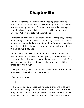# **Chapter Six**

<span id="page-18-0"></span>Ennie was already starting to get the feeling that Kelly was always up to something. But up to something or not, she seemed more interesting than any of the girls he was used to seeing at school, girls who were only interested in talking about their favorite TV show or giggling about makeup.

He followed Kelly down side roads. With each step they seemed to be getting further from Lucía's. Soon they passed the Chinese restaurant that marked the end of the block. Ennie was just about to tell her that they should turn around and go back when Kelly turned down a dingy alley.

In this particular alley the doors on most of the garages had been left open and a collection of carpentry tools seemed to be scattered aimlessly on the concrete. Ennie bounced his ball off the back of a half-constructed dresser. Kelly turned and held her finger up to her mouth.

"My pops always passes out in the middle of the afternoon," she whispered. "The trick is don't wake him up."

"What are we doing?"

"Let's go."

They came to a garage stained with red graffiti and missing the bottom panel. Kelly grabbed the basketball and rolled it through the gap, then scurried through herself. She motioned for Ennie to follow. Once inside he saw that they were in a sparse garage with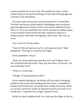a dusty workbench on one side. The workbench had a rusted metal clamp on top and everything on that half of the garage was covered in tiny woodchips.

The other side of the space was bare except for a motorbike. The bike had luscious black leather saddlebags and an exhaust pipe that gleamed a shade of silver that almost reflected Ennie's face in it. Even at a standstill, the vehicle seemed to radiate power. It was the kind of bike Ennie had seen mysterious figures in leather jackets ride down the highway. He'd never seen one up close.

"Can I touch it?" Ennie asked.

"Touch it? We ain't gonna touch it, we're gonna ride it," Kelly whispered. "The keys is inside by the fridge."

Ennie swallowed. "Keys?"

"Yeah, you know what keys look like, don't ya? Fridge is here," she motioned with her hand. "Keys are over here, on the left. Can you remember that?"

"Thinkso," Ennie said.

"Awright. I'll stand guard out here."

Ennie nodded obediently. He kicked off his Jordans and gently pulled on the screen door leading into the house. It squealed in protest and Ennie froze. He looked back at Kelly nervously. When no sounds came from inside, he tiptoed forward and came to an inside door. It opened into a single carpeted room.

He felt his heart swallow itself. He could see the fridge on the far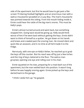side of the apartment, but first he would have to get past a flatscreen TV blaring football highlights and an enormous man with a walrus moustache sprawled on a Lazy Boy. The man's moustache was pointed towards the ceiling. From the mouth hiding inside it, Ennie could hear the rattle of the big man's snores. This must be Kelly's pops.

Ennie's almost turned around and went back, but something stopped him. Going back would be giving up. Kelly would think worse of him if he went back without getting the keys. Ennie didn't want to think of himself as a quitter. He got down on his hands and knees and crawled past the snoring man. He moved silent and quick like an assassin, and in no time at all he'd made it to the fridge.

Nervously, with one eye on Kelly's father, he reached up to grab the keys off the counter. But his reach was off by just a few inches and the ring of keys clattered to the floor. The walrus man groaned, opening one eye and rolling over in his chair.

Ennie squatted on his toes, preparing for a mad dash out of the apartment, but the man settled backinto position. It wasn't long before he was happily snoring again. Ennie picked up the keys and darted back to the garage.

"I thinkI woke him up," he gasped.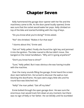### **Chapter Seven**

<span id="page-21-0"></span>Kelly hammered the garage door opener with her fist and the machinery came to life. As the door panel loudly opened, Ennie was sure that the racket would wake her pops. Kelly climbed on top of the bike and started fumbling with the ring of keys.

"Do you know what you're doing?" Ennie asked.

"No!" she shrieked. "Makes it fun that way!"

"I dunno about this," Ennie said.

"Get on!" Kelly yelled. Finally she found the right key and jammed it into the ignition. The bike roared to life but didn't move. She banged on the metal handlebars. "Why ain't it going anywhere?"

"Don't you know how to drive?"

"Sure," Kelly yelled. But it was obvious she was having trouble with the machine.

Over the many sounds filling the garage, Ennie heard the screen door slam behind him. He turned to discover the walrus man blocking the doorframe. His eyes were angry little slits and his round face was blotched red.

"Kelly!" the man yelled. "Get offmy bike!"

Ennie bolted through the open garage door. He was sure the enormous man would track him down at any moment, but there was no sign of Kelly or her father. He ran blindly until he stumbled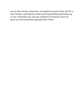across the Chinese restaurant. He waited around in front of it for a fewminutes, catching his breath and hoping Kelly would show up on her motorbike, but she was nowhere to be found. Soon he gave up and started the long walk back home.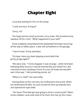# **Chapter Eight**

<span id="page-23-0"></span>Lucía was waiting for him on the stoop.

"I said one hour, Enrique!"

"Sorry, tia."

The large woman sized up Ennie's sorry state. She brushed some sawdust off his t-shirt. "What happened to your ball?"

Ennie suddenly remembered the basketball he'd been bouncing all the way to Kelly's place. It was still somewhere in the garage.

"I don't know," Ennie admitted.

"Enrique. Have you been playing around with that grimy gringo again?"

"We were only –" Ennie stopped. It was strange – while he'd been following Kelly around, it had allseemed like just foolish fun. But now that he was standing in front of Lucía, he knew she wouldn't see it that way. "I did something dumb, tia."

"What is it, child?" she said softly.

Staring down at the concrete, he confessed to the prank. When he mentioned the bike, his aunt turned his face up towards hers and opened her eyes wide.

"Por favor! That little girl was going to drive a motorcycle?" When Ennie nodded, Lucía took hold of his short thin hair by the crown.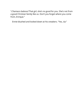"Chamaco baboso! That girl, she's no good for you. She's not from a good Christian family like us. Don't you forget where you come from, Enrique."

Ennie blushed and looked down at his sneakers. "Yes, tia."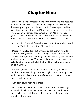# **Chapter Nine**

<span id="page-25-0"></span>Steve-O held the basketball in the palm of his hand and gestured for Ennie to take a seat on the floor of the gym. Ennie could feel the sweat pooling in the collar of his shirt. The campers had just played two-on-twos. Ennie and Shane had been matched up with Troy and a wiry, rat-tailed kid named Martin. Martin wasn't as good as Troy, but he had a mean streak. Every time Ennie touched the ball Martin clawed at his shirt or tried to stamp on his feet.

At one point, Ennie fell flat on his face. He felt Martin's hot breath in his ear. "Better luck next time," he snarled.

Martin might play dirty, but Ennie could still outrun him. He started weaving around Martin, scoring a couple of buckets on the rat-tailed teenager. But then Troy switched over to guard him and he didn't stand a chance. Troy swatted one of his shots away. He picked up the bounding ball at the top of the circle and casually nailed a jumper.

After that, Ennie tried to find Shane with the ball, but Shane couldn't score on anything that wasn't right under the hoop. Troy made layup after layup, and when Ennie leaped to try to block a shot, he just laughed.

"You can't touch me," he taunted.

Once the game was over, Steve-O let the other three kids go outside for lunch. But when Ennie tried to follow, the thick-set coach called him back. Ennie took a seat on the floor near the white free throw stripe.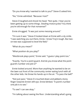"Do you know why I wanted to talk to you?" Steve-O asked him.

"No," Ennie admitted. "Because I lost?"

Steve-O laughed and shook his head. "Not quite. I hear you've been getting up to some things. Stealing motorcycles? You think you're old enough for that nonsense?"

Ennie shrugged. "It was just some messing around."

"I'm sure it was." Steve-O looked down at Ennie with a sly smile. "I was watchingyou out there, Ennie. Iknow Troy's tough. But twoon-two was supposed to level the field."

"What do you mean?"

"What position do you play?"

"Westbrook plays point," Ennie said. "Iguess I play point too."

"Exactly. You're a point guard. And do you know what the point guard's number one job is?"

Ennie looked around. More than anything he wanted to be on the lawn out front of the community center eating lunch with all the other kids. He threw his hands up in the air. "To pass the ball?"

"Not just pass." Steve-O crouched down and jabbed a bony finger towards Ennie's left eye. Ennie blinked. "A point's number one job is to see."

"To see? I can see okay."

"I'm talking about seeing the floor. Understanding what's going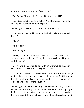to happen next. You've got to *have vision."* 

"But I'm fast," Ennie said. "You said that was my skill."

"Speed is good, but vision is better. And after vision, you know what a point guard's number two job is?"

Ennie sighed, accepting his fate. "I dunno. Hearing?"

"No." Steve-O handed him the basketball. "Tellme whose ball that is."

"Mine?"

"And you are?"

"The point guard."

"Exactly. Your second job is to *take control*. That means that you're in charge of the ball. Your job is to always be making the right decision."

"Got it," Ennie said, standing up with an eye towards the door. "Have vision. Take control. Can I go eat now?"

"It's not just basketball," Steve-O said. "You take those two things out into the world and you're going to do better in life. Think about that silly prankyou played the other night. Did you have vision? Did you have control of the situation?"

Ennie sighed. It was hard to argue with Steve-O, partly because he was so intimidating, but also because Ennie was starting to get the feeling that Steve-O was looking out for him. He had to admit that in hindsight the whole business with the motorcycle seemed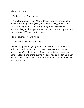a little ridiculous.

"Probably not," Ennie admitted.

"Now, tomorrow's Friday," Steve-O said. "You can show up for the final and keep playing like you've been playing all week, and you'll probably lose, because Troy's tough. But if you show up ready to play your best game, then you could be unstoppable. And you know what? You just might win."

Ennie blushed. "You thinkso?"

"Only one way to find out, kiddo."

Ennie escaped the gym gratefully. As he took a seat on the lawn with the other kids, he could still hear Steve-O's words in his head. Have vision, he thought. Take control. It didn't sound so hard. He took a bite of the burrito his aunt had packed in his lunch bag and tried to figure out how in the world he could put Steve-O's advice into action.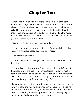### **Chapter Ten**

<span id="page-29-0"></span>After Lucía went to bed that night, Ennie snuck out the back door. In the dark, it was hard to find a solid footing in the cluttered alleyway. Ennie stumbled over pieces of metal and brick as he picked his way towards the old car wreck. He found Kelly curled up under the filthy blanket in the backseat. He banged on the metal husk to wake her up. The next thing he knew, the barrel of the BB gun was pressed against his cheek.

"Aw, sorry, Ennie," she said. "You scared me."

"I snuck out after my aunt went to bed," Ennie said glumly. "But she says I'm not supposed to see you no more."

"You plannin' to listen?"

"I dunno. Everyone's telling me we shouldn't have tried to take that bike."

"Iknow. I was just bein' dumb," she said, tossingthe BB gun into the weeds under the back seat. Ennie started to crawl in next to her but she grabbed hold of him and started to cry into his ratty tshirt. "I'm scared," she sobbed. "I can't go back there. I'm gonna be stuck in this stupid car for the rest of my life."

Ennie was shocked. Until now Kelly had seemed too tough to cry. Now, it felt like she was holding onto him for dear life. He had no idea how to comfort her. He glanced down in the direction where she'd thrown the gun and recognized a familiar Spalding logo, a little more scuffed-up than he remembered it.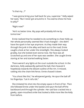"Is that my…?"

"I was gonna bring your ball back for you, superstar." Kelly wiped her eyes. "But I never got around to it. You wanna show me how to play?"

"Right now?"

"Ain't no better time. My pops will probably killme by tomorrow."

Ennie realized that he needed to do something to cheer Kelly up. Her whole personality seemed like it had changed – she didn't have the spark in her eye anymore. As they made their way through the junkin the alley and back out to the road, Ennie caught a look at her under the streetlight. She always looked grubby, but she looked even worse now. Her face was all scratched up and one of her eyes was swollen. She caught Ennie staring at her and started walking faster.

There weren't any lights at the court outside the school. In the darkness, Kelly awkwardly palmed the ball, then heaved it hopelessly towards the distant outline of the rim. It missed, rattling into the chain-link fence. Ennie chased it down.

"You shoot like this," he whispered gently. He spun the ball off his fingertips. "Let it roll a bit."

She imitated his shot into the empty space in front of her. Then she followed Ennie under the basket and spun the ball off the backboard and through the cylinder. Her sad face cracked into a gawky, open-mouthed smile that looked a little more like the Kelly from before.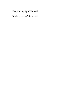"See, it's fun, right?" he said.

"Yeah, guess so," Kelly said.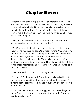### **Chapter Eleven**

<span id="page-32-0"></span>After that first shot they played back and forth in the dark in a friendly game of one-on-one. Ennie let Kelly score every time she got the ball. When he had it he tried to make impossible circus shots in the dark to show off. It didn't bother him that she was scoring more than him, but then she got a wacky grin on her face and started bragging.

"Maybe you ain't so hot after all, Ennie!" she squealed after making another bucket. "I got your number."

"As if," he said. He decided to score on this possession just to show her he was taking it easy. "Get ready for the Westbrook!" he shouted. He reset the ball at the top of the key and lined himself up for an easy layup. He drove into the lane but in the darkness, he ran right into Kelly. They collapsed on top of one another in a heap of tangled arms and legs. Ennie felt the soft heat of her cheek against his and realized that his whole body felt as if it was burning up.

"See," she said. "You can't do nothing on me."

"I tripped," Ennie protested. But with her pockmarked little face smiling up at him and their bodies so close together, he wasn't thinking about basketball. He leaned in suddenly and gave Kelly a peck on the lips.

"Ew!" She spat him out. Then she giggled, and it was the girliest sound Ennie had ever heard come out of her mouth. "You're a weird dude, Enrique."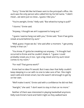"Sorry." Ennie felt like he'd been sent to the principal's office. His aunt was the only person who called him by his full name. "I didn't mean…we were just so close…Iguess I like you."

"You're awright, Ennie," Kelly said. "But whatcha trying to pull?"

"I dunno." Ennie said.

"Anyway, I thought we ain't supposed to hang out."

"Iguess I wanna hang out with you," Ennie said. "Even if we gotta sneak around behind my aunt."

"Well, guess I hope we do," she said after a moment. "I get pretty lonely in that car."

"You know, if Igotta be sneaking out anyway…" A thought had occurred to Ennie and he couldn't shake it. "Iguess I could probably sneak you in too. I got a big closet and my aunt never comes to my room."

"For real? That gonna work?"

Ennie had no idea if it would. But it was clear that Kelly couldn't keep sleeping in a car with no one to take care of her. She might seem wild and street-smart, but she wasn't old enough to get by on her own.

"We'll make it work," Ennie said with a confidence he did not feel.

"Awright," she said. "I don't want to stay in that car no more."

Neither of them was interested in playing basketball anymore. Kelly took Ennie's hand and held it tight as they walked back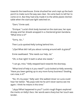towards the townhouse. Ennie shushed her and crept up the back porch to make sure the way was clear. He came back to tell her to come on in. But they had only made it to the white plastickitchen table when the staircase light switched on.

"Darn," Ennie said.

"Enrique."Lucía's thick body loomed on the staircase, her eyes droopy and her dreads wrapped in a checkered green bandana. "What time is it?"

"Sorry, tia…"

Then Lucía spotted Kelly lurking behind him.

";Oye! What did I tell you about running around with la güera?"

Ennie swallowed. "She needs our help, tia."

"Oh, is that right? A bath is what she needs."

"I can go, miss." Kelly stepped back towards the doorway.

"What kind of help is it you need?" Lucía looked at Kelly severely. "Have you been getting up to any more funny business? Stealing cars now, is it?"

"No. It's my pops," Kelly said. She walked closer so Lucía could hear her better. "My pops told me he ain't never wanna see me again. I think he means it this time."

"¡Ayyy! What happened to you?" Lucía's rough fingers explored the marks on Kelly's face. Her words were sharp but her touch was tender.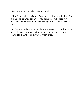Kelly stared at the railing. "He real mad."

"That's not right,"Lucía said. "You deserve love, my darling." She turned and frowned at Ennie. "You get yourself changed for bed, niño. We'll talk about you sneaking around behind my back later."

As Ennie sullenly trudged up the steps towards his bedroom, he heard the water running in the tub and the warm, comforting sound of his aunt cooing over Kelly's injuries.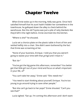# **Chapter Twelve**

<span id="page-36-0"></span>When Ennie woke up in the morning, Kelly was gone. Once he'd satisfied himself that his aunt hadn't hidden her somewhere in the townhouse, he galloped down the alley to check behind the warehouse. But the old Toyota was just a pile of ratty blankets like they'd left it the night before. Ennie stormed into the kitchen.

"Where is she?" he shouted.

Lucía set a chorizo plate on the plastic table in front of him and settled heftily into a chair. She didn't seem bothered by the fact that Ennie was screaming at her.

"None ofyour business, Enrique. I told you that you weren't going to waste your time with that *gringo* and I mean it."

"But tia–"

"You've got the big game this afternoon, remember? You better get that little girl out of your mind and focus on what's important in your life, si?"

"You can't take her away," Ennie said. "She *needs* me."

"You need to start thinking about yourself, Enrique. You're too young to go around trying to save other people."

"But she can't go back to her pops!" Ennie shouted. "Can't you see that?"

Lucía sighed. "Eat up. I'm coming this afternoon and I don't want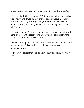to see my Enrique tired out because he didn't eat his breakfast."

"If I play bad, it'll be your fault." But Lucía wasn't wrong - today was Friday, and it was his last chance to show Steve-O what he was made of. Kelly was important, but Kelly would have to wait until after the game today. Ennie shot his aunt a glare. "It's not fair," he said.

"Life, it is not fair."Lucía stood up from the table and gathered her purse. "I can't expect you to understand. I cannot afford to take a child, not one as wild as that girl."

Ennie stared quietly into his plate of food. He just couldn't get a bad taste out of his mouth. He could barelyget any of his breakfast down.

"The worst part is that she didn't even saygoodbye," he finally said.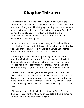### **Chapter Thirteen**

<span id="page-38-0"></span>The last day of camp was a big production. The gym at the community center had been rigged with temporary bleachers and friends and family would be bringing in folding chairs and banners to tape to the walls after lunch. Steve-O set up a scorer's table. A big numbered folding scorecard sat mid-court, and a big cardboard box behind him hinted at the trophies that would be handed out to the winning team.

A buzz echoed up to the rafters of the gym. Ennie heard little kids who hadn't made a single basket all week bragging that today was their chance to shine. He wondered if he was just another player who thought he was better than he really was.

The campers spent the morning working out in pairs and watching NBA highlights on YouTube. Ennie worked with Gabby, the only girl in camp. Gabby was a brown-haired eleven-year-old who still had a bit of baby fat on her cheeks. Even though she didn't move very fast, her shot was better than Ennie expected.

Towards lunch, Steve-O gathered everyone around and tried to give a lecture on sportsmanship, but it was no use. It was the last day of camp and everyone was already making plans for the rest of the summer. Two minutes into Steve-O's talk, Troy and Martin started wrestling in the back of the crowd. Steve-O gave up on his speech.

The campers went for lunch after that. When Steve-O called them back inside for their final warm-ups before the big game, he stopped Ennie in the doorway of the gym.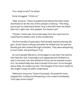"You ready to win?" he asked.

Ennie shrugged. "I think so."

"Well, know so." Steve-O pulled Ennie behind the thick metal doorframe to let the rest of the campers trickle by. "The thing you've got to understand about Troy is that he'll never be better than he is right now. He's peaked. You haven't yet."

"Thanks," Ennie said. He turned away from the coach but he could feel his cheeks color at the compliment.

The first handful of spectators had already started entering the gym. Ennie heard a whoop and when he looked over he saw two blonde girls who looked like high-schoolers. They were whispering to each other and pointing at Troy.

As more people filtered in, Ennie began to see that Troy had his own little fan club. Eventually Lucía appeared and climbed to a seat in the back row. She winked at Ennie, but he wanted no part of it. He wished Kelly was there instead of his aunt. As he thought about Kelly, his cheeks burned. The thought of her touch made his skin tingle in ways he didn't understand.

"Welcome, everyone," Steve-O boomed. His powerful voice stopped the rustling and whispering in the crowd immediately. "Let's play some hoops!"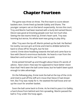#### **Chapter Fourteen**

<span id="page-40-0"></span>The game was three on three. The first team to score eleven baskets won. Ennie lined up beside Gabby and Shane. The younger campers sat on the bench expectantly. Across the court, Troy and Martin had been teamed with a burly kid named Devon. Devon was good at knocking people over but not much else. Seeing the two teams lined up, Ennie's heart sank. Troy was looming but worse, his whole team was going to play dirty.

After Troy won the tip-off, Martin picked up the ball. He flashed his toothy raccoon grin at Ennie and tried to dribble behind his back to show off for the girls, but he lost control. Ennie dove headlong towards the ball and came face-toface with Devon's enormous backside. He heard a roar from the bleachers and turned to see Troy score a point.

Ennie picked himself up and thought about Steve-O's words of advice. Have vision. How was he supposed to have better vision than that? He'd seen the ball come loose, but he hadn't been quick enough to take advantage.

On the following play, Ennie tookthe ball at the top of the circle and tried to pull off the stiff-arm move that Steve-O had shown him. But Troy was ready for it. He swatted the ball loose and ran up the court for another basket.

Soon the ball came back to Ennie. As he tried to pass it to Gabby, a hard shove from behind sent him sprawling. Martin passed the ball to Troy under the hoop again.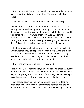"That was a foul!" Ennie complained, but Devon's wide frame had blocked Martin's dirty play from Steve-O's vision. No foul was called.

"You're lo-osing," Martin taunted. He flexed a wiry bicep.

Ennie looked around at his teammates, but they stared back blankly. Devon and Gabby were counting on him. He looked up at the crowd. His aunt waved, but he wasn't really looking for her. He wondered where Kelly was right this minute. Suddenly he realized Kelly was what thisgame was missing. Kelly didn't mind getting in a little trouble. If these guys were going to play dirty, then Kelly would know how to meet them on their own turf.

The time was now. Martin came up the floor with the ball, but Ennie watched Troy, anticipating his next move. When the older kid came hurtling down the lane, Ennie made sure his left leg wandered into Troy's path. Troy stumbled. Ennie picked the ball up and blazed down the court to score a point.

"That's the only one you'llget," Troygrowled.

Now it was 3-1. If nothing else, Ennie had shown that he wouldn't back down. And that first point was everything. Ennie knew that if he got completely shut out in front of this many people, he might as well crawl into a hole and forget about basketball forever.

Troy scored again, but as Ennie watched the play unfold, he understood exactly where his teammate's defense had broken down. Ennie might be losing, but at least he was seeing the floor.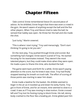# **Chapter Fifteen**

<span id="page-42-0"></span>Take control. Ennie remembered Steve-O's second piece of advice. As he dribbled, Ennie forgot that there was even a crowd in the gym. He wasn't aware of anything except the ball and the five other players. When Troy and Devon tried to take the ball, he sensed that Gabby was open. He threw her the ball and she made the shot.

"Just lucky," Martin sneered.

"This is where I start trying," Troy said menacingly. "Don't start thinking I'm going to let you win."

On the next play, Troy pushed through Ennie and scored. But something had changed. Ennie wasn't scared of Troy. He started focusing for his teammates instead. They weren't the most talented players, but they could make shots when they were open. He made a pass to Shane this time, who dunked the ball.

The game went back-and-forth for a while. Ennie wasn't paying attention to the score, but he knew it was close. Troy had finally stopped wasting his breath on trash-talk. The effort of scoring all those points was starting to wear him down.

Ennie made a beeline for the basket. His dribble seemed to linger in the air as it traveled up and down his lanky frame. Troy got in front of Ennie, and for an instant, time seemed to slow to a crawl. It was as if Troy was moving in slow motion. Ennie crossed left and Troy lost his footing trying to block Ennie. His tall, skinny body crashed to the floor like a bowling pin. Ennie glided past him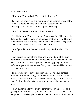for an easy score.

"Time-out!" Troy yelled. "Time-out! He hurt me!"

For the first time in several minutes, Ennie became aware of the crowd. He heard a whole lot of raucous screaming and cheering—and at least a couple of people booing.

"That's it!" Steve-O boomed. "That's eleven!"

"I said time-out!" Troy screamed. "That was a foul!" He lay on the floor holding his left thigh. Ennie noticed that his face had turned red and tears had started to stream down his cheeks. Lying there like that, he suddenly didn't seem so invincible.

"You figured it out!" Steve-O was shaking his shoulders. "You got it!"

Troy picked himself off the floor and stormed out of the gym before the trophies could be awarded. No one followed him – not even Martin or the blonde girls who'd been giggling about him before the game. Now that he'd finally lost, it seemed like no one liked him anymore.

Ennie walked over to the bench in a daze. The younger kids mobbed around him, congratulating him on the victory. Shane wiped some sweat from his brow with a chubby, freckled arm and gave Ennie a high-five. Gabby walked up and shylygave him a hug.

Then it was time for the trophy ceremony. Ennie accepted his gold figurine from Steve-O, but he still couldn't process what had happened on the last play. He knew that he'd won, but how had he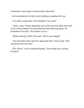contorted Troy's body in slowmotion like that?

As he wondered, he felt Lucía's embrace swallow him up.

"You did it, *esquincle*," she shrieked. "You won!"

"Yeah, I won," Ennie repeated, but in the moment after the thrill of his victory faded, he remembered that Kelly was gone. He frowned at his aunt. "No thanks to you."

"What's wrong, child?" she said. "Aren't you happy?"

"You shouldn't have sent her away like that." Ennie said. "She should be here for this."

"Oh, shush," Lucía muttered quietly. "Just enjoy your victory, Enrique."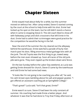## **Chapter Sixteen**

<span id="page-45-0"></span>Ennie stayed mad about Kelly for a while, but the summer moved on without her. After camp ended, Steve-O started coming by the court at the school to help Ennie with his shot. Ennie had locked up his spot on the team, but he still didn't stand a chance when it came to stopping Steve-O. The old coach liked to show off with fadeaway jumps and slick crossovers that left Ennie in his dust. Ennie had to admit their scrimmages were good practice for the competition he would be facing in the fall.

Near the end of the summer the city cleared out the alleyway behind the warehouse. Ennie watched a parade of burly men march past his door, filling enormous metal garbage bins with all the junk. The old Toyota was the first thing to go, towed away before the men even showed up. Soon all traces of the old junkpile were gone. They even ripped up the broken-down wire fence.

On the last Sunday before the Labor Day weekend, as Lucía was getting Ennie dressed for church, Steve-O came by the townhouse and told Ennie he had some bad news.

"It looks like I'm not going to be coaching you after all," he said, his calm brown eyes twinkling above his salt-and-peppergoatee. "I got offered an assistant coaching job at Springfield College."

"That's great!" Lucía said. "Isn't that great, Ennie?"

Ennie wasn't so sure. Steve-O had been his only constant all summer. His coaching had made Ennie a better player. And whatever it was that he had done to Troy that Friday afternoon at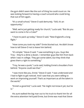the gym didn't seem like the sort of thing he could count on. He was looking forward to having a coach around who could bring that out of him again.

"It's a small school," Steve-O said demurely. "Still, it's an opportunity."

"Well, we're just getting ready for church," Lucía said. "But do you want to come in for a Coke?"

"I have to pack up today," Steve-O said. "New England's a long flight."

"How come you took my side?" Ennie blurted out. He didn't know how to tell Steve-O not to leave him behind.

"It's simple," Steve-O said. "I saw something in you. Guys like Troy – they're a dime a dozen. I rememberguys like him from back when I was in college. They got some talent, but they think that gives them a right to something."

"Troy, he was a punk,"Lucía said, holding Ennie's shoulders from behind. "Anyone could see that."

"I was more like you, Ennie," Steve-O said. "I was undersized and I had to fight to get noticed. And I saw that you were willing to work on improving yourself. That's as important as all the talent in the world."

"Ennie's a good kid,"Lucía said. "He might notknow it yet, but he is."

His aunt walked the big man out to his truck to thank him for all the extra attention he'd paid Ennie, but Ennie was mad that Steve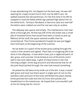O was abandoning him. He slipped out the back way. He was still wearing his crisply ironed church shirt, but he didn't care. He walked towards the old warehouse. For the first time in his life he stopped to read the faded yellow sign painted high above him on the white brick. Tommy's Hardware, it had once said, but now half the letters were rubbed out and the rest was only an outline.

The alleyway was sparse and empty. The maintenance men had done a thorough job. All that was left of the old clutter was a small pile of smashed bricks that would have been a hassle to pick up. Without all the stuff, the space seemed smaller than he remembered. Then Ennie wondered if maybe he was just bigger than he'd been at the beginning of the summer.

He sat down on a patch of the brown grass poking through the cracks in the cement and sighed. There was no imaginingleft to be done in this alleyway—it was what it was, just a neglected patch of dirt, grass, and concrete. Ennie kicked at one of the bricks and it split in two and rolled away. A glint of metal shone in the midmorning sunlight. Ennie dug around it and discovered that for all the junk they'd picked through, the men had missed something.

He picked his old Swiss Army knife out of the dirt. It was crusted with grass and mud, but there wasn't a single spot of rust on the stainless steel and each of the tools still flicked into place cleanly. Ennie jammed the multi-tool into his front shirt pocket and headed back to the townhouse. He hoped that Lucía wouldn't yell at him for being late for church.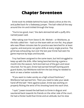#### **Chapter Seventeen**

<span id="page-48-0"></span>Ennie took his dribble behind his back, faked a drive at the rim, and pulled back for a fadeaway jumper. The ball rolled all the way around the rim and trickled through the hoop.

"You're too good, man," the dark-skinned kid with a puffy Afro named Juwan said.

After taking over from Steve-O, Mr. Wishek– or Wishbone, as the kids called him – had run the team with an iron fist. Any player who was fifteen minutes late for practice was benched for at least a game, and everyone ran pylon drills at every single practice. The grind was exhausting, but over the last year Ennie had seen his game improve by leaps and bounds.

Troy had been assigned to the same team, but he'd struggled to keep up with the drills. After being benched during a game a month into the season, he'd stormed out of the gym and never returned. For his part, Ennie had earned himself starting point guard duties, but Wishbone told him the last thing he needed to work on was a better outside shot.

"If you want to make varsity as a high school freshman," Wishbone had warned him, "then you need to take your weak hand off the ball." Here against Juwan, Ennie was working on properly flicking the wrist of his shooting hand into each shot.

"I quit." Juwan tossed the ball backto Ennie in disgust and sauntered back towards his friends on the other side of the court. He had a thicker build than Ennie and an attitude, but his slow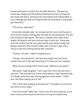moves had been no match for the little Mexican. The pass he threw was sloppy and the ball bounded past Ennie out towards the chain-link fence. Ennie put his head down and chased after it, but a teenage girl with her long blonde hair tied backin a ponytail got there first.

"Thisyours, superstar?"

Ennie did a double take. He recognized the voice, but the girl in front of him looked nothing like the Kelly he remembered. The dirt and the grime were gone. She was scrubbed clean, with shiny bright red lipstick and two stud earrings in each ear. Ennie was sure she hadn't had her ears pierced the year before. Kelly had always seemed a fewmonths older than him but it was still a shock to see her looking almost like a woman.

"Thanks," he said. "I didn't recognize you."

"Iknow, I look all weird." Her face was bright red, but Ennie couldn't be sure if she was blushing or if it was just her makeup.

"What are you doing here?" Ennie said. "Where's your pops?"

"My pops?" Kelly laughed. "I ain't seen him since the last time I saw you." She pointed out to the street where a dark-skinned lady in a flower print skirt was leaning against a blue sedan. "That's Sue. She been taking care of me."

"Oh," Ennie said, looking at the ground. "I thought my aunt sent you back to your pops."

"You ain't know?" Kelly said. "Sue's from the church group. Lucía even come by the house some time to bring me clothes and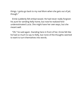things. I gotta go back to my real Mom when she gets out of jail, though."

Ennie suddenly felt embarrassed. He had never really forgiven his aunt for sending Kelly home, but now he realized he'd underestimated Lucía. She might have her own ways, but she meant well.

"Oh," he said again. Standing here in front of her, Ennie felt like he had so much to say to Kelly, but none of the thoughts seemed to want to turn themselves into words.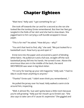# **Chapter Eighteen**

<span id="page-51-0"></span>"Wait here," Kelly said. "I got something for ya."

She took off towards the car and for a second as she ran she looked like the tomboy Ennie remembered. But then her feet got tangled in the folds of her skirt and she had to slow down. She jogged back to him carrying a soft bundle wrapped in tissue paper.

"This is for me?" he asked. "How did you – why?"

"You ain't that hard to find, silly," she said. "We just looked for a basketball court. Now hurry up and open it."

Ennie tore into the paper and uncovered a patch of blinding white fabric. He pulled at it and a full-size, straight-off-the-rack basketball jersey fell into his hands. He turned it over. Above the enormous blue zero in the middle of the back, the word WESTBROOK was sewn in big block letter.

"I'm sorry for tearing up your old magazine," Kelly said. "I had no idea it could mean anything to anyone."

"Thanks!" Ennie said. "I didn't even thinkyou remembered…"

He pulled the jersey over his head. Kelly walked a semi-circle around him, inspecting.

"Well, it almost fits. Sue said Igotta leave a little room because you're stillgrowing." Kelly put her mouth up to Ennie's ear. "She also says to take care of it 'cause it's *expensive*." She giggled and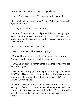stepped away from Ennie. "Sue's rich,you know."

"I will," Ennie assured her. "I'll keep it in perfect condition."

Kelly took hold of Ennie's hand. "Thanks," she said. "Thanks for trying to help me."

"I thought I messed it all up," Ennie said.

"Y'know, if it weren't for you I'd probably be back at my pop's place right now. You got me outta some big trouble, even if you never knew it." She dropped his hand. "Anyway, I just wanted to say bye for real."

Kelly took a step towards the street.

"Wait," Ennie said. "Where are you going?"

"Sue's taking me to see my Mom." Kelly stuck out her tongue. "She says I gotta show her how I dress up nice."

"But..." Ennie started, searching for the words. "We gonna see each other again?"

"Maybe," Kelly shrugged. "You're gonna be in high school soon, right? You still gonna let your aunty tell you who you can sneak around with then, superstar?" She threw him a wink. "I'll be around. Or maybe not."

As Kelly strolled back to the car, Ennie wondered if she was leaving his life for good. Without so much as a glance back, she climbed into the passenger side of the vehicle. The car turned out onto the street and disappeared behind an oaktree on the corner.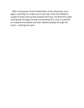After it was gone, Ennie looked down at his new jersey once again, touching it to make sure it was real. Then he dribbled a couple of times and turned towards the hoop. He flicked his right hand gently through the ball and watched as it rose in a perfect arc towards the basket and then swished quietly through the mesh – nothing but nylon.